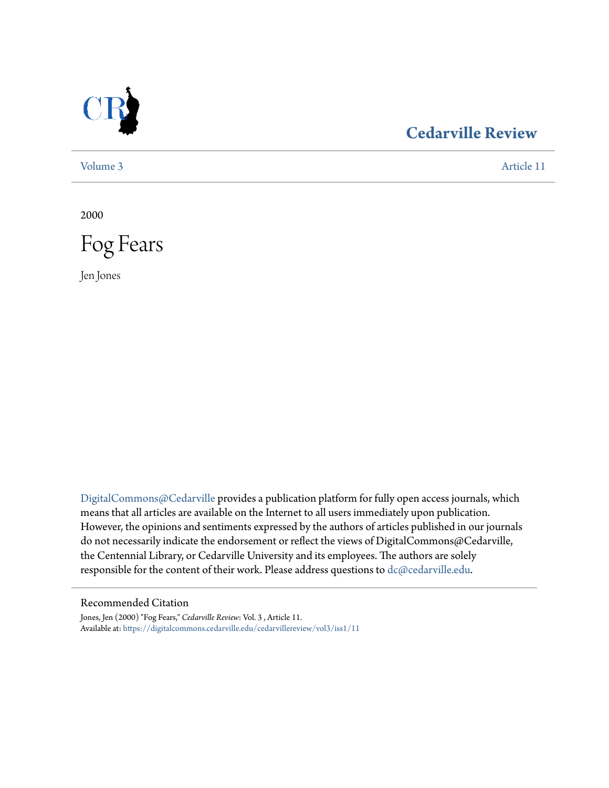

## **[Cedarville Review](https://digitalcommons.cedarville.edu/cedarvillereview?utm_source=digitalcommons.cedarville.edu%2Fcedarvillereview%2Fvol3%2Fiss1%2F11&utm_medium=PDF&utm_campaign=PDFCoverPages)**

[Volume 3](https://digitalcommons.cedarville.edu/cedarvillereview/vol3?utm_source=digitalcommons.cedarville.edu%2Fcedarvillereview%2Fvol3%2Fiss1%2F11&utm_medium=PDF&utm_campaign=PDFCoverPages) [Article 11](https://digitalcommons.cedarville.edu/cedarvillereview/vol3/iss1/11?utm_source=digitalcommons.cedarville.edu%2Fcedarvillereview%2Fvol3%2Fiss1%2F11&utm_medium=PDF&utm_campaign=PDFCoverPages)

2000



Jen Jones

[DigitalCommons@Cedarville](http://digitalcommons.cedarville.edu) provides a publication platform for fully open access journals, which means that all articles are available on the Internet to all users immediately upon publication. However, the opinions and sentiments expressed by the authors of articles published in our journals do not necessarily indicate the endorsement or reflect the views of DigitalCommons@Cedarville, the Centennial Library, or Cedarville University and its employees. The authors are solely responsible for the content of their work. Please address questions to [dc@cedarville.edu](mailto:dc@cedarville.edu).

#### Recommended Citation

Jones, Jen (2000) "Fog Fears," *Cedarville Review*: Vol. 3 , Article 11. Available at: [https://digitalcommons.cedarville.edu/cedarvillereview/vol3/iss1/11](https://digitalcommons.cedarville.edu/cedarvillereview/vol3/iss1/11?utm_source=digitalcommons.cedarville.edu%2Fcedarvillereview%2Fvol3%2Fiss1%2F11&utm_medium=PDF&utm_campaign=PDFCoverPages)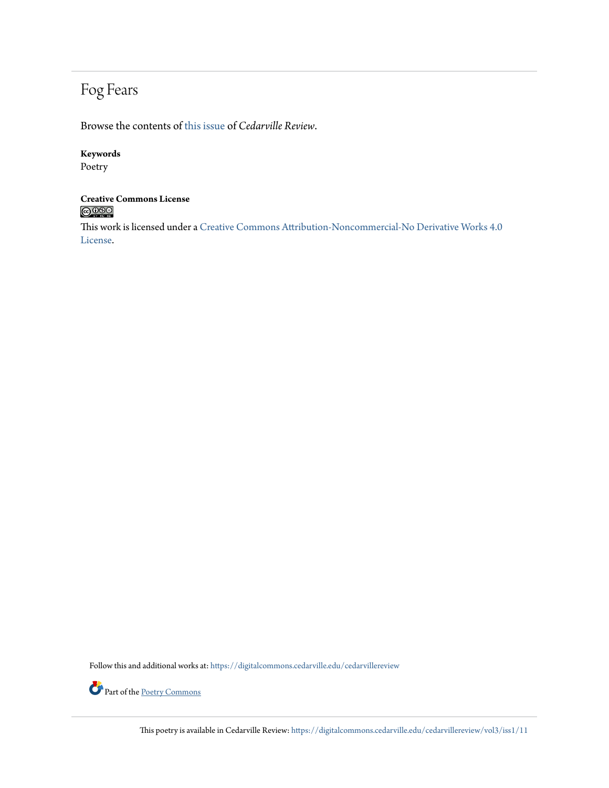## Fog Fears

Browse the contents of [this issue](https://digitalcommons.cedarville.edu/cedarvillereview/vol3/iss1) of *Cedarville Review*.

#### **Keywords**

Poetry

# **Creative Commons License**

This work is licensed under a [Creative Commons Attribution-Noncommercial-No Derivative Works 4.0](http://creativecommons.org/licenses/by-nc-nd/4.0/) [License.](http://creativecommons.org/licenses/by-nc-nd/4.0/)

Follow this and additional works at: [https://digitalcommons.cedarville.edu/cedarvillereview](https://digitalcommons.cedarville.edu/cedarvillereview?utm_source=digitalcommons.cedarville.edu%2Fcedarvillereview%2Fvol3%2Fiss1%2F11&utm_medium=PDF&utm_campaign=PDFCoverPages)



This poetry is available in Cedarville Review: [https://digitalcommons.cedarville.edu/cedarvillereview/vol3/iss1/11](https://digitalcommons.cedarville.edu/cedarvillereview/vol3/iss1/11?utm_source=digitalcommons.cedarville.edu%2Fcedarvillereview%2Fvol3%2Fiss1%2F11&utm_medium=PDF&utm_campaign=PDFCoverPages)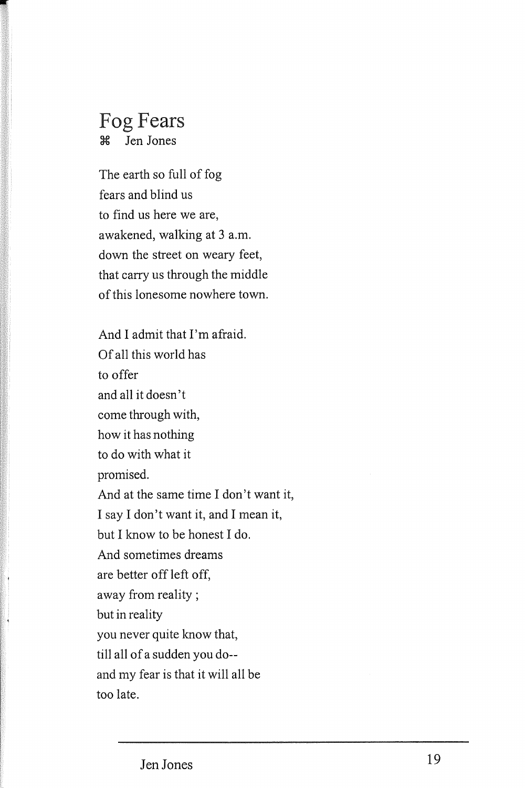### Fog Fears ~ Jen Jones

The earth so full of fog fears and blind us to find us here we are, awakened, walking at 3 a.m. down the street on weary feet, that carry us through the middle of this lonesome nowhere town.

And I admit that I'm afraid. Of all this world has to offer and all it doesn't come through with, how it has nothing to do with what it promised. And at the same time I don't want it, I say I don't want it, and I mean it, but I know to be honest I do. And sometimes dreams are better off left off, away from reality; but in reality you never quite know that, till all of a sudden you do- and my fear is that it will all be too late.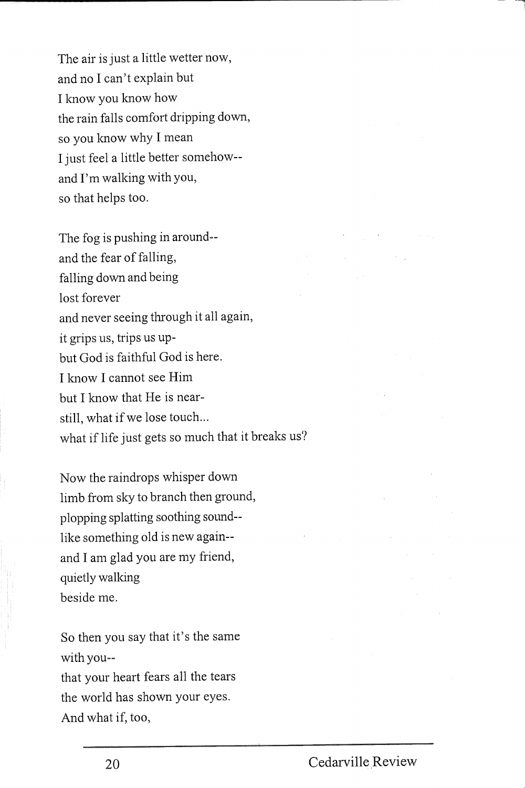The air is just a little wetter now, and no I can't explain but I know you know how the rain falls comfort dripping down, so you know why I mean I just feel a little better somehow- and I'm walking with you, so that helps too.

The fog is pushing in around- and the fear of falling, falling down and being lost forever and never seeing through it all again, it grips us, trips us upbut God is faithful God is here. I know I cannot see Him but I know that He is nearstill, what if we lose touch... what if life just gets so much that it breaks us?

Now the raindrops whisper down limb from sky to branch then ground, plopping splatting soothing sound- like something old is new again- and I am glad you are my friend, quietly walking beside me.

So then you say that it's the same with you- that your heart fears all the tears the world has shown your eyes. And what if, too,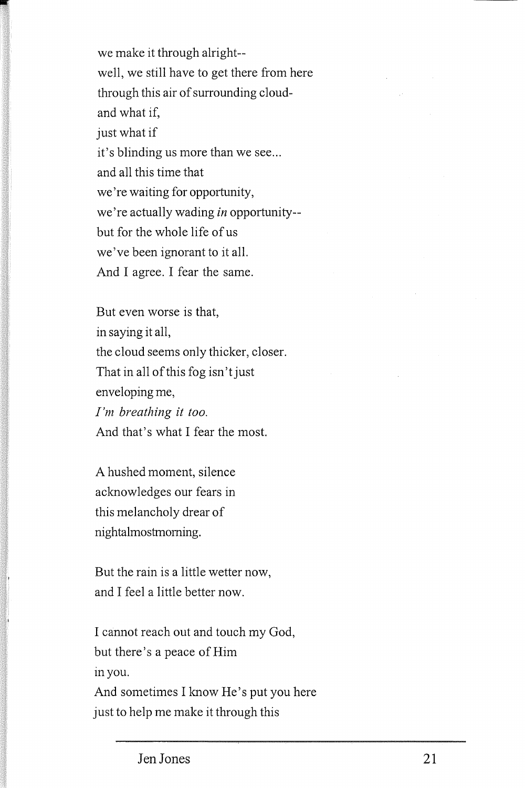we make it through alright- well, we still have to get there from here through this air of surrounding cloudand what if, just what if it's blinding us more than we see... and all this time that we're waiting for opportunity, we're actually wading *in* opportunity- but for the whole life of us we've been ignorant to it all. And I agree. I fear the same.

But even worse is that, in saying it all, the cloud seems only thicker, closer. That in all of this fog isn'tjust enveloping me, *I'm breathing it too.*  And that's what I fear the most.

A hushed moment, silence acknowledges our fears in this melancholy drear of nightalmostmoming.

But the rain is a little wetter now, and I feel a little better now.

I cannot reach out and touch my God, but there's a peace of Him <sup>111</sup>you. And sometimes I know He's put you here

just to help me make it through this